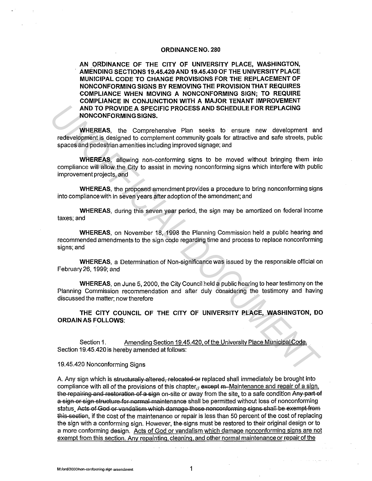## **ORDINANCE NO. 280**

**AN ORDINANCE OF THE CITY OF UNIVERSITY PLACE, WASHINGTON, AMENDING SECTIONS 19.45.420AND 19.45.430 OF THE UNIVERSITY PLACE MUNICIPAL CODE TO CHANGE PROVISIONS FOR THE REPLACEMENT OF NONCONFORMING SIGNS BY REMOVING THE PROVISION THAT REQUIRES COMPLIANCE WHEN MOVING A NONCONFORMING SIGN; TO REQUIRE COMPLIANCE IN CONJUNCTION WITH A MAJOR TENANT IMPROVEMENT AND TO PROVIDE A SPECIFIC PROCESS AND SCHEDULE FOR REPLACING NONCONFORMING SIGNS.** 

**WHEREAS,** the Comprehensive Plan seeks to ensure new development and redevelopment is designed to complement community goals for attractive and safe streets, public spaces and pedestrian amenities including improved signage; and **AND TO PROVIDE A SPECIFIC PROCESS AND SCHEDULE FOR REPLACING<br>
WHEREAS, the Comprehensive Plan seeks to ensure new development and<br>
redevelopments designed to complement community goals for attractive and safe streets, pub** 

**WHEREAS,** allowing non-conforming signs to be moved without bringing them into compliance will allow the City to assist in moving nonconforming signs which interfere with public improvement projects, and

**WHEREAS,** the proposed amendment provides a procedure to bring nonconforming signs into compliance with in seven years after adoption of the amendment; and

**WHEREAS,** during this seven year period, the sign may be amortized on federal income taxes; and

**WHEREAS,** on November 18, 1998 the Planning Commission held a public hearing and recommended amendments to the sign code regarding time and process to replace nonconforming signs; and

**WHEREAS,** a Determination of Non-significance was issued by the responsible official on February 26, 1999; and

**WHEREAS,** on June 5, 2000, the City Council held a public hearing to hear testimony on the Planning Commission recommendation and after duly considering the testimony and having discussed the matter; now therefore

**THE CITY COUNCIL OF THE CITY OF UNIVERSITY PLACE, WASHINGTON, DO ORDAIN AS FOLLOWS:** 

Section 1. Amending Section 19.45.420, of the University Place Municipal Code. Section 19.45.420 is hereby amended at follows:

19.45.420 Nonconforming Signs

A. Any sign which is structurally altered, relocated or replaced shall immediately be brought into compliance with all of the provisions of this chapter. $\frac{1}{2}$  except m-Maintenance and repair of a sign, the repairing and restoration of a sign on-site or away from the site, to a safe condition Any part of a sign or sign structure for normal maintenance shall be permitted without loss of nonconforming status\_Acts of God or vandalism which damage these nonconforming signs shall be exempt from this seetien, if the cost of the maintenance or repair is less than 50 percent of the cost of replacing the sign with a conforming sign. However, the signs must be restored to their original design or to a more conforming design. Acts of God or vandalism which damage nonconforming signs are not exempt from this section. Any repainting, cleaning. and other normal maintenance or repair of the

**M:/ord/2000/non-conforming sign amendment** 1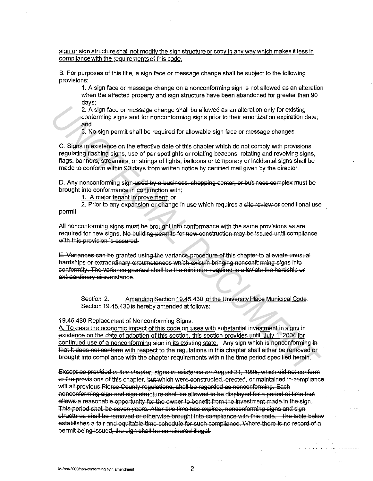sign or sign structure shall not modify the sign structure or copy in any way which makes it less in compliance with the requirements of this code.

B. For purposes of this title, a sign face or message change shall be subject to the following provisions:

1. A sign face or message change on a nonconforming sign is not allowed as an alteration when the affected property and sign structure have been abandoned for greater than 90 davs:

2. A sign face or message change shall be allowed as an alteration only for existing conforming signs and for nonconforming signs prior to their amortization expiration date; and

3. No sign permit shall be required for allowable sign face or message changes.

C. Signs in existence on the effective date of this chapter which do not comply with provisions regulating flashing signs, use of par spotlights or rotating beacons, rotating and revolving signs, flags, banners, streamers, or strings of lights, balloons or temporary or incidental signs shall be made to conform within 90 days from written notice by certified mail given by the director.

D. Any nonconforming sign-used-by-a-business, shopping-center, or business complex must be brought into conformance in conjunction with:

1. A major tenant improvement; or

2. Prior to any expansion or change in use which requires a site review of conditional use permit.

All nonconforming signs must be brought into conformance with the same provisions as are required for new signs. No building permits for new construction may be issued until compliance with this provision is assured.

E. Variances can be granted using the variance procedure of this chapter to alleviate unusual hardships or extraordinary circumstances which exist in bringing nonconforming signs into conformity. The variance granted shall be the minimum required to alleviate the hardship or extraordinary circumstance.

Section 2. Amending Section 19.45.430, of the University Place Municipal Code. Section 19.45.430 is hereby amended at follows:

19.45.430 Replacement of Nonconforming Signs.

A. To ease the economic impact of this code on uses with substantial investment in signs in existence on the date of adoption of this section, this section provides until July 1, 2004 for continued use of a nonconforming sign in its existing state. Any sign which is nonconforming in that it does not conform with respect to the regulations in this chapter shall either be removed or brought into compliance with the chapter requirements within the time period specified herein.

Except as provided in this chapter, signs in existence on August 31, 1995, which did not conform to the provisions of this chapter, but which were constructed, erected, or maintained in compliance will all previous Pierce County regulations, shall be regarded as nonconforming. Each nonconforming sign and sign structure-shall be allowed to be displayed for a period of time that allows a reasonable opportunity for the owner to benefit from the investment made in the sign. This period shall be seven years. After this time has expired, nonconforming signs and sign structures shall be removed or otherwise brought into compliance with this code. The table below establishes a fair and equitable time schedule for such compliance. Where there is no record of a permit being issued, the sign shall be considered illegal.

M:/ord/2000/non-conforming sign amendment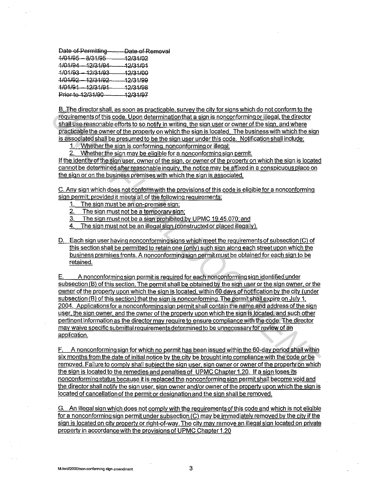Date of Permitting-------- Date of Removal  $1/01/95 - 8/31/95 - 12/31/02$ 1/01/84 - 12/31/94 - 12/31/01 1/01/93 - 12/31/93 - 12/31/00<br>1/01/92 - 12/31/92 - 12/31/99 1/01/92 - 12/31/92 1/01/91 - 12/31/91 12/31/98 Prior to 12/31/90 12/31/97

8. The director shall. as soon as practicable. survey the city for signs which do not conform to the requirements of this code. Upon determination that a sign is nonconforming or illegal. the director shall use reasonable efforts to so notify in writing, the sign user or ownerof the sign. and where practicable the owner of the property on which the sign is located. The business with which the sign is associated shall be presumed to be the sign user under this code. Notification shall include:

1. Whether the sign is conforming, nonconforming or illegal;

2. Whether the sign may be eligible for a nonconforming sign permit.

If the identity of the sign user, owner of the sign, or owner of the property on which the sign is located cannot be determined after reasonable inquiry, the notice may be affixed in a conspicuous place on the sign or on the business premises with which the sign is associated.

C. Any sign which does not conform with the provisions of this code is eligible for a nonconforming sign permit; provided it meets all of the following requirements:

- 1. The sign must be an on-premise sign;
- 2. The sign must not be a temporary sign;

3. The sign must not be a sign prohibited by UPMC 19.45.070; and

The sign must not be an illegal sign (constructed or placed illegally).

D. Each sign user having nonconforming signs which meet the requirements of subsection CC) of this section shall be permitted to retain one (only) such sign along each street upon which the business premises fronts. A nonconforming sign permit must be obtained for each sign to be retained.

E. A nonconforming sign permit is required for each nonconforming sign identified under subsection (8) of this section. The permit shall be obtained by the sign user or the sign owner. or the owner of the property upon which the sign is located, within 60 days of notification by the city (under subsection (B) of this section) that the sign is nonconforming. The permit shall expire on July 1. 2004. Applications for a nonconforming sign permit shall contain the name and address of the sign user, the sign owner. and the owner of the property upon which the sign is located. and such other pertinent information as the director may require to ensure compliance with the code. The director may waive specific submittal requirements determined to be unnecessary for review of an application. **E. The direction and as soon as practicele** survey the dirk for signs which do not conforming the distance and in the direction of the distance and when the distance and in the sign of the sign of the sign of the sign of

F. A nonconforming sign for which no permit has been issued within the 60-day period shall within six months from the date of initial notice by the city be brought into compliance with the code or be removed. Failure to comply shall subject the sign user, sign owner or owner of the property on which the sign is located to the remedies and penalties of UPMC Chapter 1.20. If a sign loses its nonconforming status because it is replaced the nonconforming sign permit shall become void and the director shall notify the sign user. sign owner and/or owner of the property upon which the sign is located of cancellation of the permit or designation and the sign shall be removed.

G. An illegal sign which does not comply with the requirements of this code and which is not eligible for a nonconforming sign permit under subsection CC) may be immediately removed by the city if the sign is located on city property or right-of-way. The city may remove an illegal sign located on private property in accordance with the provisions of UPMC Chapter 1.20